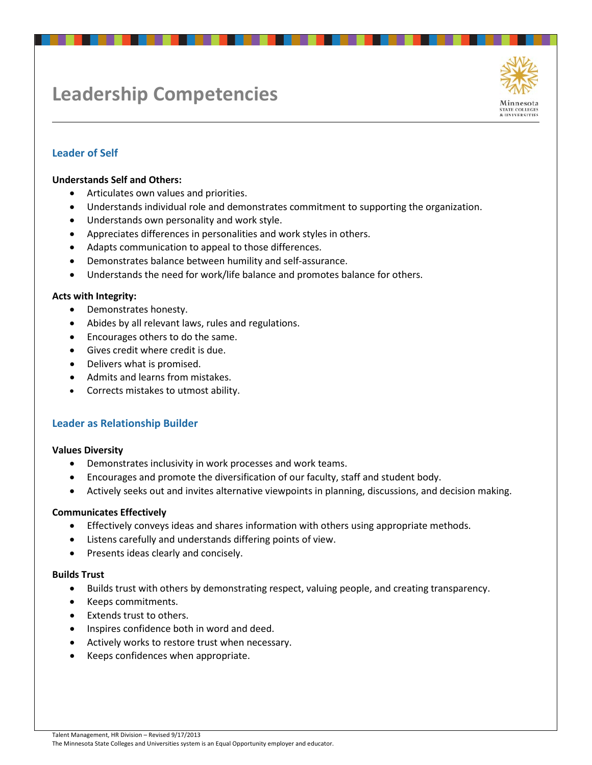# **Leadership Competencies**



## **Leader of Self**

#### **Understands Self and Others:**

- Articulates own values and priorities.
- Understands individual role and demonstrates commitment to supporting the organization.
- Understands own personality and work style.
- Appreciates differences in personalities and work styles in others.
- Adapts communication to appeal to those differences.
- Demonstrates balance between humility and self-assurance.
- Understands the need for work/life balance and promotes balance for others.

#### **Acts with Integrity:**

- Demonstrates honesty.
- Abides by all relevant laws, rules and regulations.
- Encourages others to do the same.
- Gives credit where credit is due.
- Delivers what is promised.
- Admits and learns from mistakes.
- Corrects mistakes to utmost ability.

#### **Leader as Relationship Builder**

#### **Values Diversity**

- Demonstrates inclusivity in work processes and work teams.
- Encourages and promote the diversification of our faculty, staff and student body.
- Actively seeks out and invites alternative viewpoints in planning, discussions, and decision making.

#### **Communicates Effectively**

- Effectively conveys ideas and shares information with others using appropriate methods.
- Listens carefully and understands differing points of view.
- Presents ideas clearly and concisely.

#### **Builds Trust**

- Builds trust with others by demonstrating respect, valuing people, and creating transparency.
- Keeps commitments.
- Extends trust to others.
- Inspires confidence both in word and deed.
- Actively works to restore trust when necessary.
- Keeps confidences when appropriate.

Talent Management, HR Division – Revised 9/17/2013

The Minnesota State Colleges and Universities system is an Equal Opportunity employer and educator.